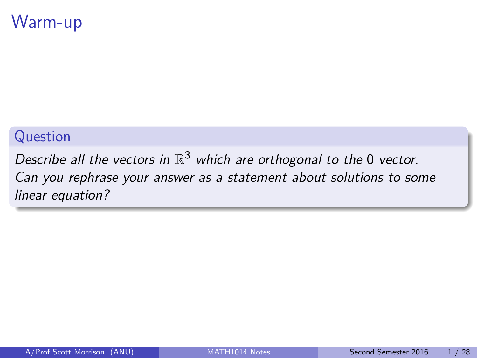## <span id="page-0-0"></span>Warm-up

#### Question

Describe all the vectors in  $\mathbb{R}^3$  which are orthogonal to the 0 vector. Can you rephrase your answer as a statement about solutions to some linear equation?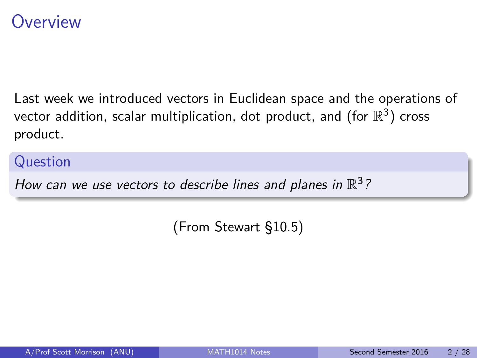### **Overview**

Last week we introduced vectors in Euclidean space and the operations of vector addition, scalar multiplication, dot product, and (for  $\mathbb{R}^3)$  cross product.

#### Question

How can we use vectors to describe lines and planes in  $\mathbb{R}^3$ ?

(From Stewart §10.5)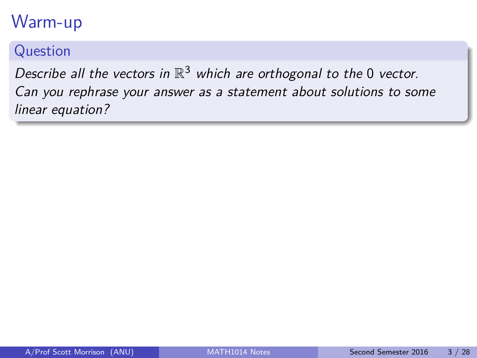# Warm-up

#### Question

Describe all the vectors in  $\mathbb{R}^3$  which are orthogonal to the 0 vector. Can you rephrase your answer as a statement about solutions to some linear equation?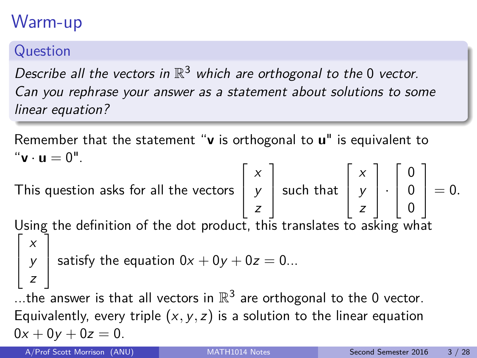# Warm-up

#### Question

Describe all the vectors in  $\mathbb{R}^3$  which are orthogonal to the 0 vector. Can you rephrase your answer as a statement about solutions to some linear equation?

Remember that the statement "**v** is orthogonal to **u**" is equivalent to  $^{\prime\prime}$ **v**  $\cdot$  **u**  $= 0^{\prime\prime}$ . This question asks for all the vectors  $\sqrt{ }$  $\Big\}$ x y z 1 | such that  $\sqrt{ }$  $\Big\}$ x y z 1  $|\cdot$  $\sqrt{ }$  $\Big\}$ 0 0 0 1  $\Big| = 0.$ Using the definition of the dot product, this translates to asking what  $\lceil$  $\Big\}$ x y z 1 satisfy the equation  $0x + 0y + 0z = 0...$ ...the answer is that all vectors in  $\mathbb{R}^3$  are orthogonal to the 0 vector. Equivalently, every triple  $(x, y, z)$  is a solution to the linear equation  $0x + 0y + 0z = 0.$ A/Prof Scott Morrison (ANU) [MATH1014 Notes](#page-0-0) Second Semester 2016 3/28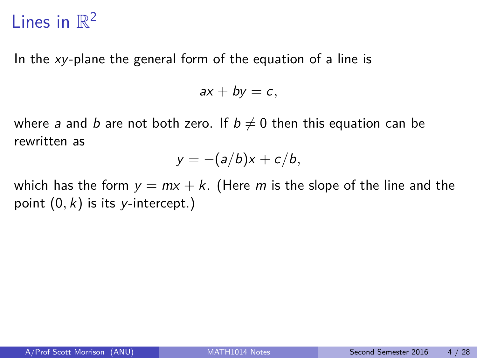# Lines in  $\mathbb{R}^2$

In the xy-plane the general form of the equation of a line is

$$
ax + by = c,
$$

where a and b are not both zero. If  $b \neq 0$  then this equation can be rewritten as

$$
y=-(a/b)x+c/b,
$$

which has the form  $y = mx + k$ . (Here m is the slope of the line and the point  $(0, k)$  is its y-intercept.)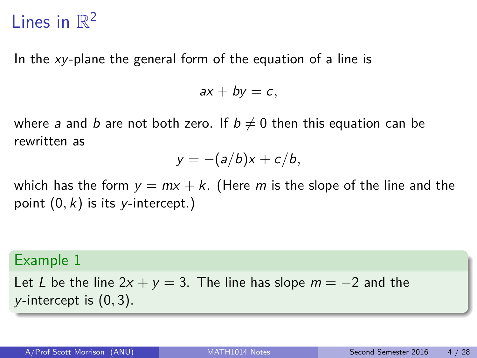# Lines in  $\mathbb{R}^2$

In the xy-plane the general form of the equation of a line is

 $ax + by = c$ ,

where a and b are not both zero. If  $b \neq 0$  then this equation can be rewritten as

$$
y=-(a/b)x+c/b,
$$

which has the form  $y = mx + k$ . (Here m is the slope of the line and the point  $(0, k)$  is its y-intercept.)

#### Example 1

Let L be the line  $2x + y = 3$ . The line has slope  $m = -2$  and the y-intercept is (0*,* 3).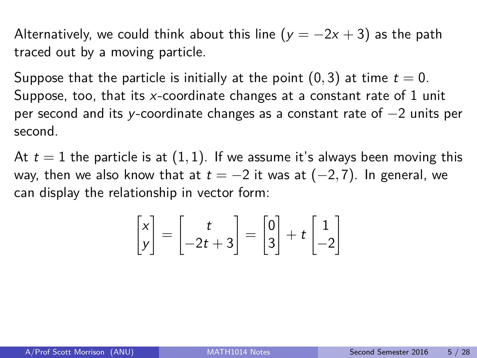Alternatively, we could think about this line ( $y = -2x + 3$ ) as the path traced out by a moving particle.

Suppose that the particle is initially at the point  $(0, 3)$  at time  $t = 0$ . Suppose, too, that its x-coordinate changes at a constant rate of 1 unit per second and its y-coordinate changes as a constant rate of −2 units per second.

At  $t = 1$  the particle is at  $(1, 1)$ . If we assume it's always been moving this way, then we also know that at  $t = -2$  it was at  $(-2, 7)$ . In general, we can display the relationship in vector form:

$$
\begin{bmatrix} x \\ y \end{bmatrix} = \begin{bmatrix} t \\ -2t + 3 \end{bmatrix} = \begin{bmatrix} 0 \\ 3 \end{bmatrix} + t \begin{bmatrix} 1 \\ -2 \end{bmatrix}
$$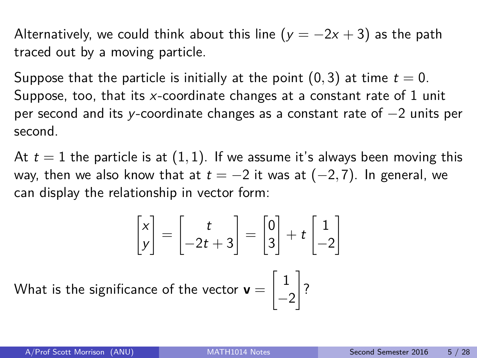Alternatively, we could think about this line ( $y = -2x + 3$ ) as the path traced out by a moving particle.

Suppose that the particle is initially at the point  $(0, 3)$  at time  $t = 0$ . Suppose, too, that its x-coordinate changes at a constant rate of 1 unit per second and its y-coordinate changes as a constant rate of −2 units per second.

At  $t = 1$  the particle is at  $(1, 1)$ . If we assume it's always been moving this way, then we also know that at  $t = -2$  it was at  $(-2, 7)$ . In general, we can display the relationship in vector form:

$$
\begin{bmatrix} x \\ y \end{bmatrix} = \begin{bmatrix} t \\ -2t + 3 \end{bmatrix} = \begin{bmatrix} 0 \\ 3 \end{bmatrix} + t \begin{bmatrix} 1 \\ -2 \end{bmatrix}
$$
  
significance of the vector  $\mathbf{v} = \begin{bmatrix} 1 \\ -2 \end{bmatrix}$ ?

What is the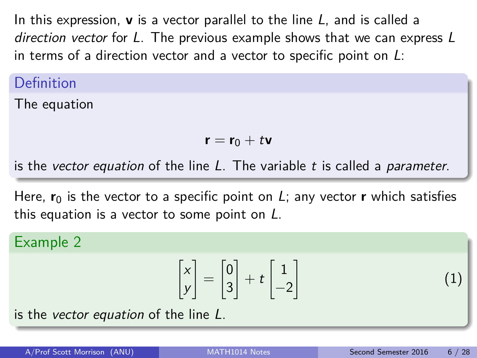In this expression, **v** is a vector parallel to the line L, and is called a direction vector for L. The previous example shows that we can express L in terms of a direction vector and a vector to specific point on  $L$ :

Definition

The equation

$$
\mathbf{r} = \mathbf{r}_0 + t\mathbf{v}
$$

is the vector equation of the line  $L$ . The variable  $t$  is called a parameter.

Here,  $\mathbf{r}_0$  is the vector to a specific point on L; any vector **r** which satisfies this equation is a vector to some point on  $L$ .

#### Example 2

$$
\begin{bmatrix} x \\ y \end{bmatrix} = \begin{bmatrix} 0 \\ 3 \end{bmatrix} + t \begin{bmatrix} 1 \\ -2 \end{bmatrix}
$$

is the vector equation of the line L.

(1)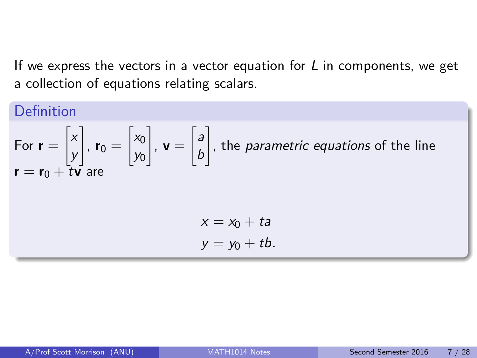If we express the vectors in a vector equation for  $L$  in components, we get a collection of equations relating scalars.

#### Definition For  $r =$  $\left\lceil x \right\rceil$ y 1 ,  $\mathbf{r}_0 =$  $\Big[ x_0$ y0 1  $, v =$  $\int a$ b 1 , the parametric equations of the line  ${\bf r}={\bf r}_0+{\bf \bar t}{\bf v}$  are  $x = x_0 + ta$  $v = v_0 + tb$ .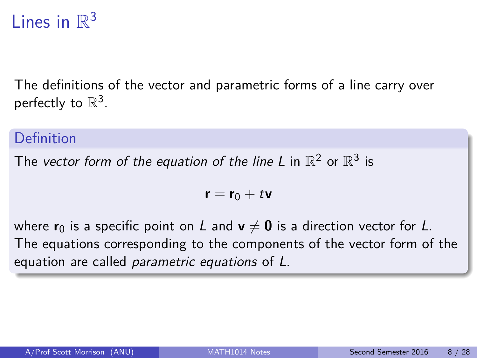# Lines in  $\mathbb{R}^3$

The definitions of the vector and parametric forms of a line carry over perfectly to  $\mathbb{R}^3$ .

#### Definition

The vector form of the equation of the line L in  $\mathbb{R}^2$  or  $\mathbb{R}^3$  is

$$
\textbf{r}=\textbf{r}_0+t\textbf{v}
$$

where  $\mathbf{r}_0$  is a specific point on L and  $\mathbf{v} \neq \mathbf{0}$  is a direction vector for L. The equations corresponding to the components of the vector form of the equation are called parametric equations of L.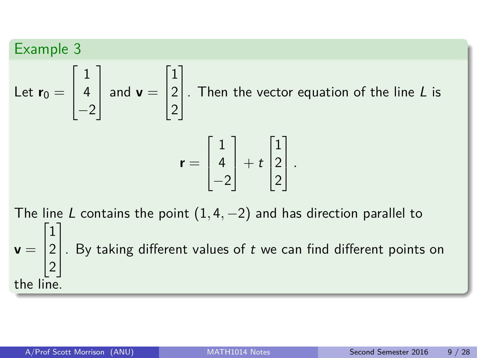#### Example 3 Let  $\mathbf{r}_0 =$  $\sqrt{ }$  $\overline{\phantom{a}}$ 1 4  $-2$ 1  $\begin{array}{|c|c|} \hline \text{and } \mathbf{v} = \hline \end{array}$  $\sqrt{ }$  $\overline{\phantom{a}}$ 1 2 2 1 . Then the vector equation of the line  $L$  is  $\mathbf{r} =$  $\sqrt{ }$  $\overline{\phantom{a}}$ 1 4  $-2$ 1  $| + t$  $\sqrt{ }$  $\overline{\phantom{a}}$ 1 2 2 1 *.*

The line L contains the point  $(1, 4, -2)$  and has direction parallel to  $\mathbf{v} =$  $\sqrt{ }$  $\Big\}$ 1 2 2 1  $\vert$ . By taking different values of  $t$  we can find different points on the line.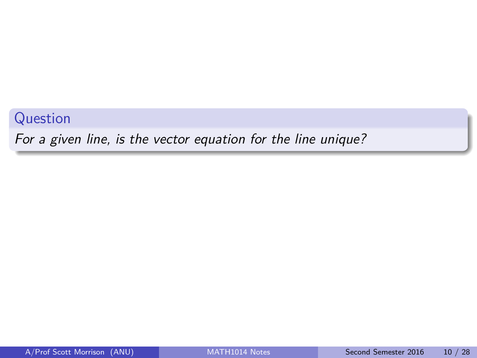Question

For a given line, is the vector equation for the line unique?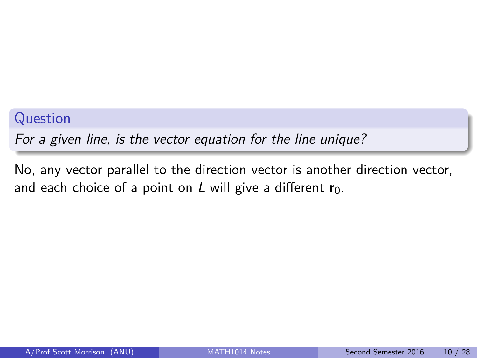#### Question

For a given line, is the vector equation for the line unique?

No, any vector parallel to the direction vector is another direction vector, and each choice of a point on L will give a different  $\mathbf{r}_0$ .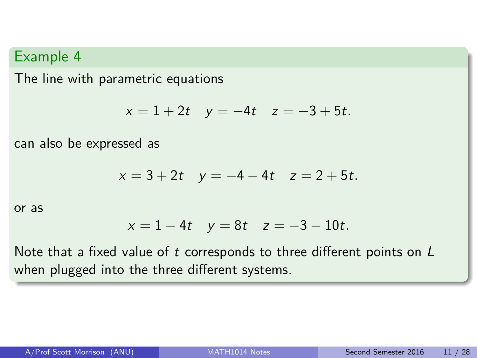The line with parametric equations

$$
x = 1 + 2t \quad y = -4t \quad z = -3 + 5t.
$$

can also be expressed as

$$
x = 3 + 2t \quad y = -4 - 4t \quad z = 2 + 5t.
$$

or as

$$
x = 1 - 4t
$$
  $y = 8t$   $z = -3 - 10t$ .

Note that a fixed value of t corresponds to three different points on L when plugged into the three different systems.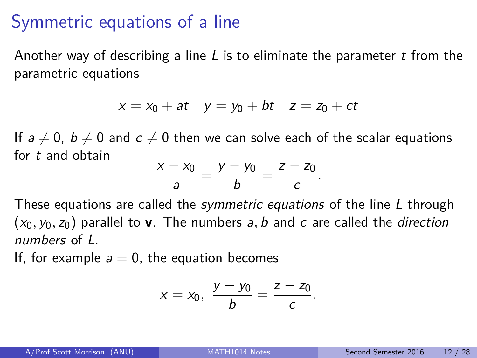### Symmetric equations of a line

Another way of describing a line L is to eliminate the parameter t from the parametric equations

$$
x = x_0 + at \quad y = y_0 + bt \quad z = z_0 + ct
$$

If  $a \neq 0$ ,  $b \neq 0$  and  $c \neq 0$  then we can solve each of the scalar equations for t and obtain

$$
\frac{x-x_0}{a}=\frac{y-y_0}{b}=\frac{z-z_0}{c}.
$$

These equations are called the *symmetric equations* of the line L through  $(x_0, y_0, z_0)$  parallel to **v**. The numbers a, b and c are called the direction numbers of L.

If, for example  $a = 0$ , the equation becomes

$$
x = x_0, \ \frac{y - y_0}{b} = \frac{z - z_0}{c}.
$$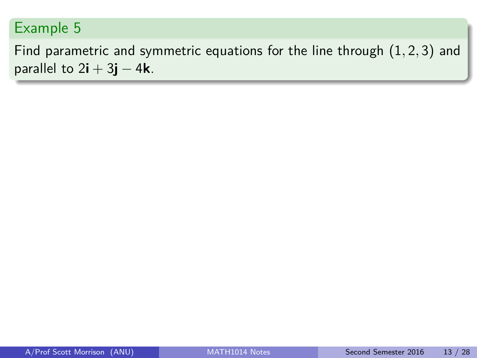Find parametric and symmetric equations for the line through (1*,* 2*,* 3) and parallel to  $2\mathbf{i} + 3\mathbf{j} - 4\mathbf{k}$ .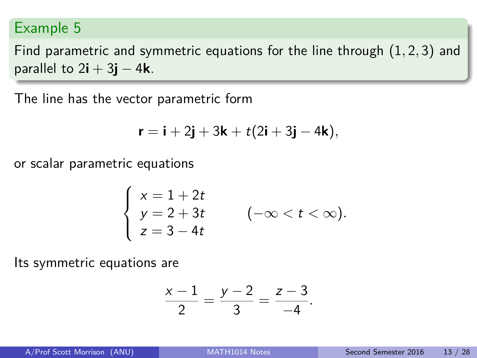Find parametric and symmetric equations for the line through (1*,* 2*,* 3) and parallel to  $2\mathbf{i} + 3\mathbf{j} - 4\mathbf{k}$ .

The line has the vector parametric form

$$
\mathbf{r} = \mathbf{i} + 2\mathbf{j} + 3\mathbf{k} + t(2\mathbf{i} + 3\mathbf{j} - 4\mathbf{k}),
$$

or scalar parametric equations

$$
\begin{cases}\nx = 1 + 2t \\
y = 2 + 3t \\
z = 3 - 4t\n\end{cases} \quad (-\infty < t < \infty).
$$

Its symmetric equations are

$$
\frac{x-1}{2} = \frac{y-2}{3} = \frac{z-3}{-4}.
$$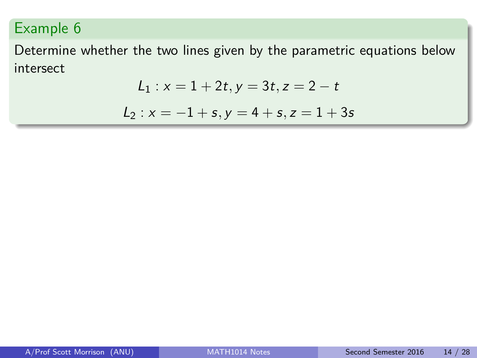Determine whether the two lines given by the parametric equations below intersect

$$
L_1: x = 1 + 2t, y = 3t, z = 2 - t
$$

$$
L_2: x = -1 + s, y = 4 + s, z = 1 + 3s
$$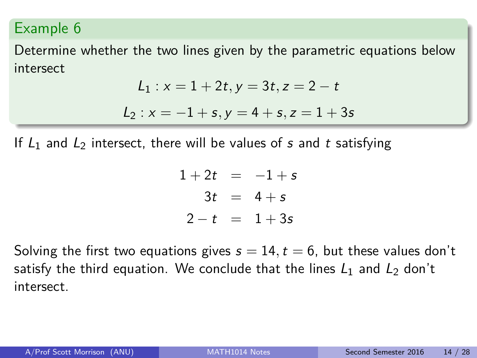Determine whether the two lines given by the parametric equations below intersect

$$
L_1: x = 1 + 2t, y = 3t, z = 2 - t
$$

$$
L_2: x = -1 + s, y = 4 + s, z = 1 + 3s
$$

If  $L_1$  and  $L_2$  intersect, there will be values of s and t satisfying

$$
1+2t = -1+s
$$
  

$$
3t = 4+s
$$
  

$$
2-t = 1+3s
$$

Solving the first two equations gives  $s = 14$ ,  $t = 6$ , but these values don't satisfy the third equation. We conclude that the lines  $L_1$  and  $L_2$  don't intersect.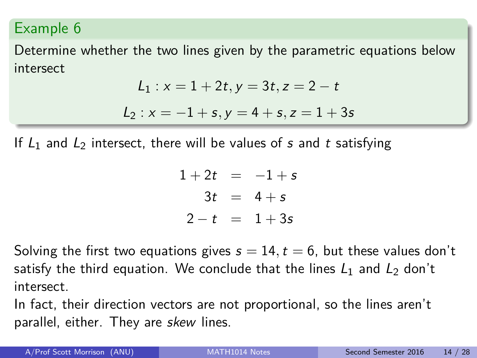Determine whether the two lines given by the parametric equations below intersect

$$
L_1: x = 1 + 2t, y = 3t, z = 2 - t
$$

$$
L_2: x = -1 + s, y = 4 + s, z = 1 + 3s
$$

If  $L_1$  and  $L_2$  intersect, there will be values of s and t satisfying

$$
1+2t = -1+s
$$
  

$$
3t = 4+s
$$
  

$$
2-t = 1+3s
$$

Solving the first two equations gives  $s = 14$ ,  $t = 6$ , but these values don't satisfy the third equation. We conclude that the lines  $L_1$  and  $L_2$  don't intersect.

In fact, their direction vectors are not proportional, so the lines aren't parallel, either. They are skew lines.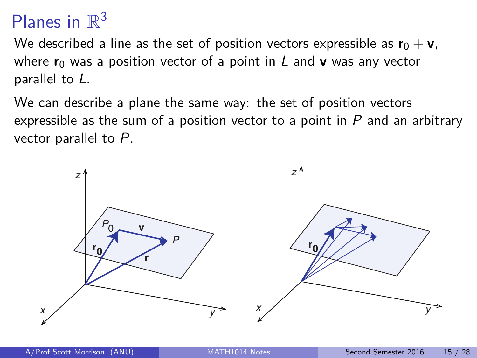# Planes in  $\mathbb{R}^3$

We described a line as the set of position vectors expressible as  $\mathbf{r}_0 + \mathbf{v}$ , where  $r_0$  was a position vector of a point in L and **v** was any vector parallel to L.

We can describe a plane the same way: the set of position vectors expressible as the sum of a position vector to a point in  $P$  and an arbitrary vector parallel to P.

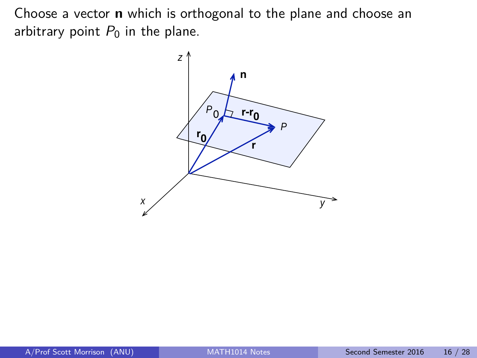Choose a vector **n** which is orthogonal to the plane and choose an arbitrary point  $P_0$  in the plane.

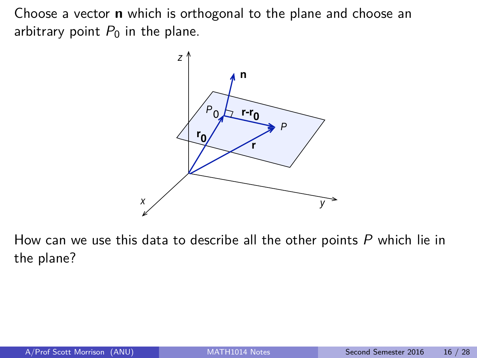Choose a vector **n** which is orthogonal to the plane and choose an arbitrary point  $P_0$  in the plane.



How can we use this data to describe all the other points  $P$  which lie in the plane?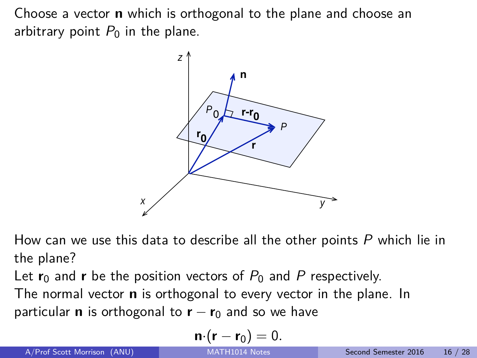Choose a vector **n** which is orthogonal to the plane and choose an arbitrary point  $P_0$  in the plane.



How can we use this data to describe all the other points  $P$  which lie in the plane?

Let  $r_0$  and **r** be the position vectors of  $P_0$  and P respectively.

The normal vector **n** is orthogonal to every vector in the plane. In particular **n** is orthogonal to  $\mathbf{r} - \mathbf{r}_0$  and so we have

$$
\mathbf{n}\cdot(\mathbf{r}-\mathbf{r}_0)=0.
$$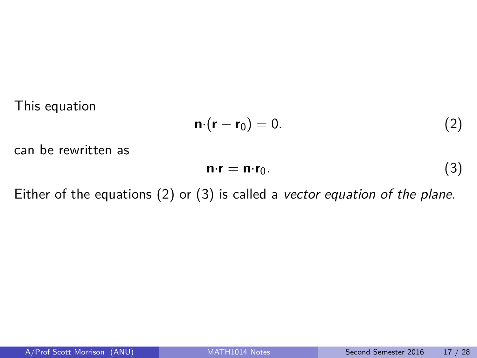This equation

<span id="page-25-0"></span>
$$
\mathbf{n} \cdot (\mathbf{r} - \mathbf{r}_0) = 0. \tag{2}
$$

can be rewritten as

<span id="page-25-1"></span>
$$
\mathbf{n} \cdot \mathbf{r} = \mathbf{n} \cdot \mathbf{r}_0. \tag{3}
$$

Either of the equations [\(2\)](#page-25-0) or [\(3\)](#page-25-1) is called a vector equation of the plane.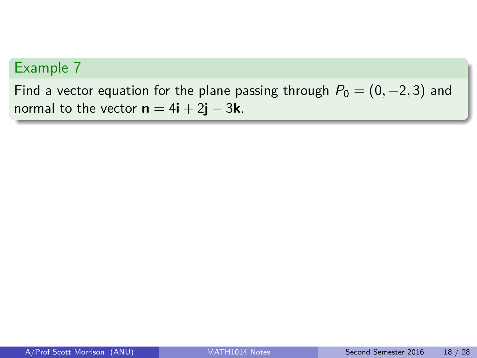Find a vector equation for the plane passing through  $P_0 = (0, -2, 3)$  and normal to the vector  $\mathbf{n} = 4\mathbf{i} + 2\mathbf{j} - 3\mathbf{k}$ .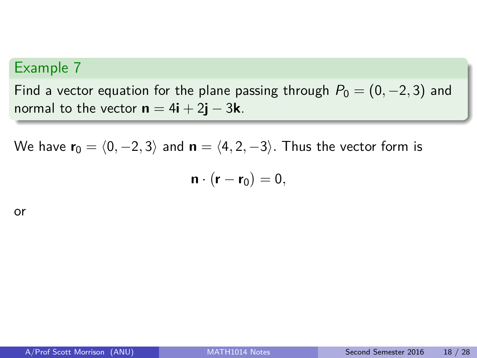Find a vector equation for the plane passing through  $P_0 = (0, -2, 3)$  and normal to the vector  $\mathbf{n} = 4\mathbf{i} + 2\mathbf{j} - 3\mathbf{k}$ .

We have  $\mathbf{r}_0 = \langle 0, -2, 3 \rangle$  and  $\mathbf{n} = \langle 4, 2, -3 \rangle$ . Thus the vector form is

$$
\mathbf{n} \cdot (\mathbf{r} - \mathbf{r}_0) = 0,
$$

or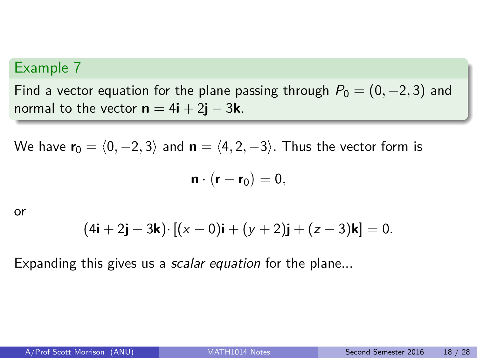Find a vector equation for the plane passing through  $P_0 = (0, -2, 3)$  and normal to the vector  $\mathbf{n} = 4\mathbf{i} + 2\mathbf{j} - 3\mathbf{k}$ .

We have  $\mathbf{r}_0 = \langle 0, -2, 3 \rangle$  and  $\mathbf{n} = \langle 4, 2, -3 \rangle$ . Thus the vector form is

$$
\mathbf{n} \cdot (\mathbf{r} - \mathbf{r}_0) = 0,
$$

or

$$
(4i + 2j - 3k) \cdot [(x - 0)i + (y + 2)j + (z - 3)k] = 0.
$$

Expanding this gives us a *scalar equation* for the plane...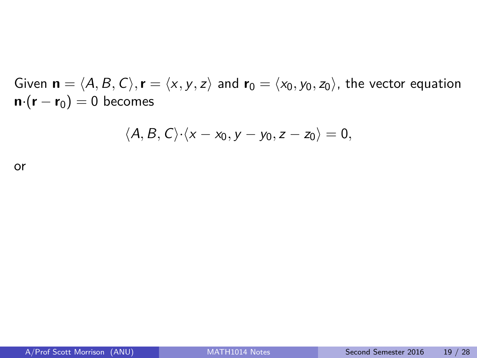Given  $\mathbf{n} = \langle A, B, C \rangle$ ,  $\mathbf{r} = \langle x, y, z \rangle$  and  $\mathbf{r}_0 = \langle x_0, y_0, z_0 \rangle$ , the vector equation  $\mathbf{n} \cdot (\mathbf{r} - \mathbf{r}_0) = 0$  becomes

<span id="page-29-0"></span>
$$
\langle A, B, C \rangle \cdot \langle x - x_0, y - y_0, z - z_0 \rangle = 0,
$$

or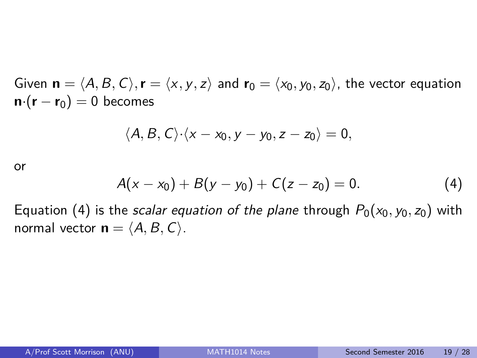Given  $\mathbf{n} = \langle A, B, C \rangle$ ,  $\mathbf{r} = \langle x, y, z \rangle$  and  $\mathbf{r}_0 = \langle x_0, y_0, z_0 \rangle$ , the vector equation  $\mathbf{n} \cdot (\mathbf{r} - \mathbf{r}_0) = 0$  becomes

$$
\langle A, B, C \rangle \cdot \langle x - x_0, y - y_0, z - z_0 \rangle = 0,
$$

or

$$
A(x-x_0)+B(y-y_0)+C(z-z_0)=0.
$$
 (4)

Equation [\(4\)](#page-29-0) is the *scalar equation of the plane* through  $P_0(x_0, y_0, z_0)$  with normal vector  $\mathbf{n} = \langle A, B, C \rangle$ .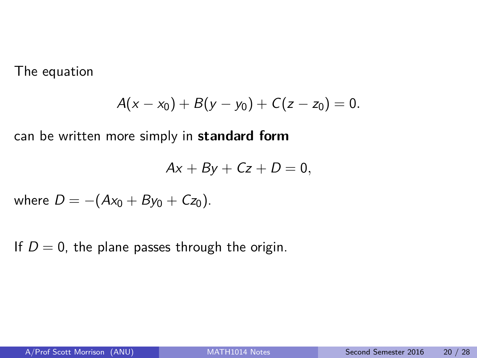The equation

$$
A(x-x_0)+B(y-y_0)+C(z-z_0)=0.
$$

can be written more simply in **standard form**

$$
Ax + By + Cz + D = 0,
$$

where  $D = -(Ax_0 + By_0 + Cz_0)$ .

If  $D = 0$ , the plane passes through the origin.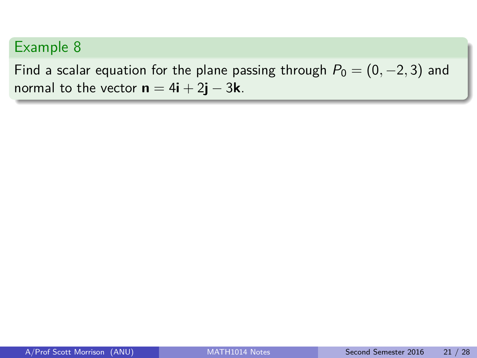Find a scalar equation for the plane passing through  $P_0 = (0, -2, 3)$  and normal to the vector  $\mathbf{n} = 4\mathbf{i} + 2\mathbf{j} - 3\mathbf{k}$ .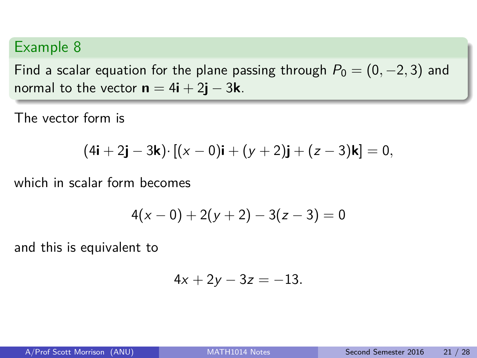Find a scalar equation for the plane passing through  $P_0 = (0, -2, 3)$  and normal to the vector  $\mathbf{n} = 4\mathbf{i} + 2\mathbf{j} - 3\mathbf{k}$ .

The vector form is

$$
(4i + 2j - 3k) \cdot [(x - 0)i + (y + 2)j + (z - 3)k] = 0,
$$

which in scalar form becomes

$$
4(x-0)+2(y+2)-3(z-3)=0
$$

and this is equivalent to

$$
4x + 2y - 3z = -13.
$$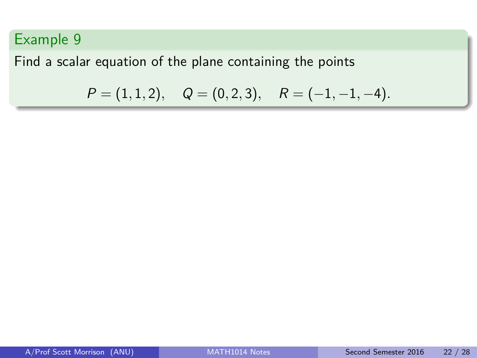Find a scalar equation of the plane containing the points

$$
P = (1, 1, 2),
$$
  $Q = (0, 2, 3),$   $R = (-1, -1, -4).$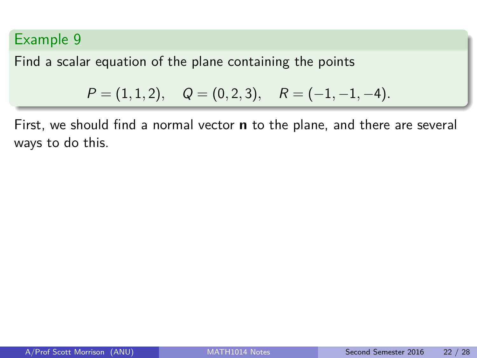Find a scalar equation of the plane containing the points

$$
P = (1, 1, 2),
$$
  $Q = (0, 2, 3),$   $R = (-1, -1, -4).$ 

First, we should find a normal vector **n** to the plane, and there are several ways to do this.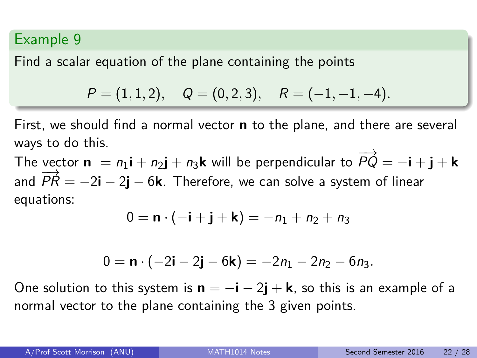Find a scalar equation of the plane containing the points

$$
P = (1, 1, 2), \quad Q = (0, 2, 3), \quad R = (-1, -1, -4).
$$

First, we should find a normal vector **n** to the plane, and there are several ways to do this.

The vector  $\mathbf{n} = n_1 \mathbf{i} + n_2 \mathbf{j} + n_3 \mathbf{k}$  will be perpendicular to  $\overrightarrow{PQ} = -\mathbf{i} + \mathbf{j} + \mathbf{k}$ and  $\overrightarrow{PR} = -2\mathbf{i} - 2\mathbf{j} - 6\mathbf{k}$ . Therefore, we can solve a system of linear equations:

$$
0=\mathbf{n}\cdot(-\mathbf{i}+\mathbf{j}+\mathbf{k})=-n_1+n_2+n_3
$$

$$
0 = \mathbf{n} \cdot (-2\mathbf{i} - 2\mathbf{j} - 6\mathbf{k}) = -2n_1 - 2n_2 - 6n_3.
$$

One solution to this system is  $\mathbf{n} = -\mathbf{i} - 2\mathbf{j} + \mathbf{k}$ , so this is an example of a normal vector to the plane containing the 3 given points.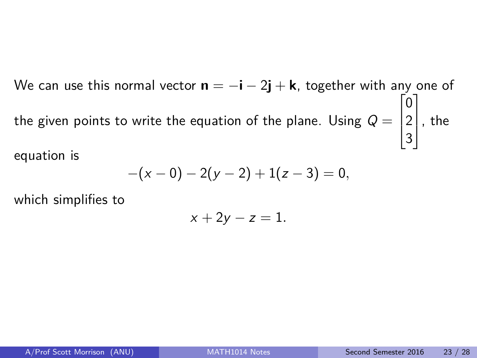We can use this normal vector **n** = −**i** − 2**j** + **k**, together with any one of the given points to write the equation of the plane. Using  $\mathcal{Q} =$  $\sqrt{ }$  $\overline{\phantom{a}}$ 0 2 3 1  $\vert$  , the equation is

$$
-(x-0)-2(y-2)+1(z-3)=0,
$$

which simplifies to

$$
x+2y-z=1.
$$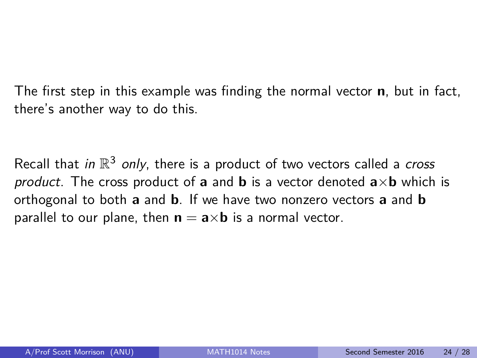The first step in this example was finding the normal vector **n**, but in fact, there's another way to do this.

Recall that in  $\mathbb{R}^3$  only, there is a product of two vectors called a *cross* product. The cross product of **a** and **b** is a vector denoted  $a \times b$  which is orthogonal to both **a** and **b**. If we have two nonzero vectors **a** and **b** parallel to our plane, then  $\mathbf{n} = \mathbf{a} \times \mathbf{b}$  is a normal vector.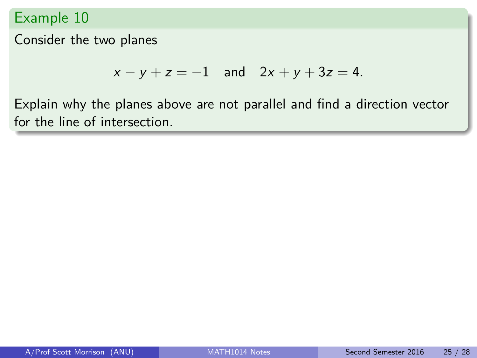Consider the two planes

$$
x - y + z = -1
$$
 and  $2x + y + 3z = 4$ .

Explain why the planes above are not parallel and find a direction vector for the line of intersection.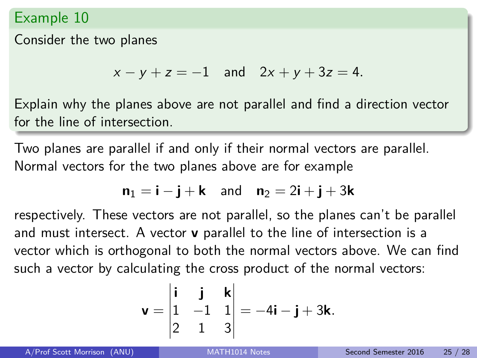Consider the two planes

 $x - y + z = -1$  and  $2x + y + 3z = 4$ .

Explain why the planes above are not parallel and find a direction vector for the line of intersection.

Two planes are parallel if and only if their normal vectors are parallel. Normal vectors for the two planes above are for example

$$
\mathbf{n}_1 = \mathbf{i} - \mathbf{j} + \mathbf{k} \quad \text{and} \quad \mathbf{n}_2 = 2\mathbf{i} + \mathbf{j} + 3\mathbf{k}
$$

respectively. These vectors are not parallel, so the planes can't be parallel and must intersect. A vector **v** parallel to the line of intersection is a vector which is orthogonal to both the normal vectors above. We can find such a vector by calculating the cross product of the normal vectors:

$$
\mathbf{v} = \begin{vmatrix} \mathbf{i} & \mathbf{j} & \mathbf{k} \\ 1 & -1 & 1 \\ 2 & 1 & 3 \end{vmatrix} = -4\mathbf{i} - \mathbf{j} + 3\mathbf{k}.
$$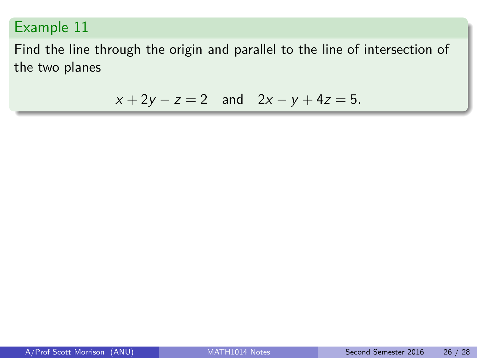Find the line through the origin and parallel to the line of intersection of the two planes

$$
x + 2y - z = 2
$$
 and  $2x - y + 4z = 5$ .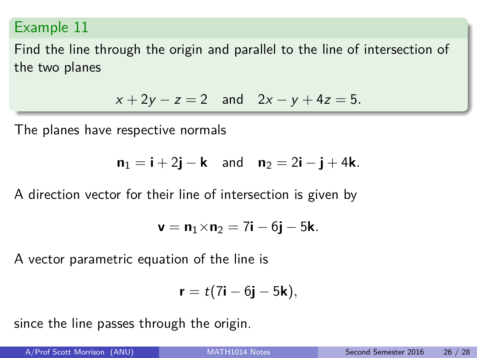Find the line through the origin and parallel to the line of intersection of the two planes

$$
x + 2y - z = 2
$$
 and  $2x - y + 4z = 5$ .

The planes have respective normals

$$
\mathbf{n}_1 = \mathbf{i} + 2\mathbf{j} - \mathbf{k} \quad \text{and} \quad \mathbf{n}_2 = 2\mathbf{i} - \mathbf{j} + 4\mathbf{k}.
$$

A direction vector for their line of intersection is given by

$$
\textbf{v}=\textbf{n}_1{\times}\textbf{n}_2=7\textbf{i}-6\textbf{j}-5\textbf{k}.
$$

A vector parametric equation of the line is

$$
\mathbf{r}=t(7\mathbf{i}-6\mathbf{j}-5\mathbf{k}),
$$

since the line passes through the origin.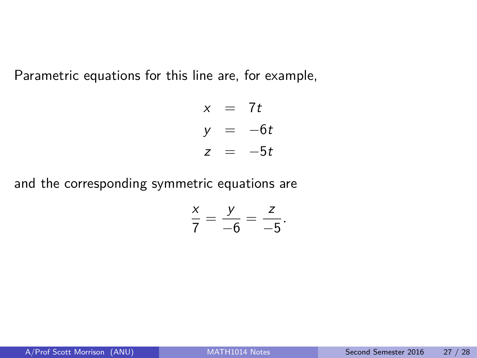Parametric equations for this line are, for example,

$$
x = 7t
$$
  

$$
y = -6t
$$
  

$$
z = -5t
$$

and the corresponding symmetric equations are

$$
\frac{x}{7}=\frac{y}{-6}=\frac{z}{-5}.
$$